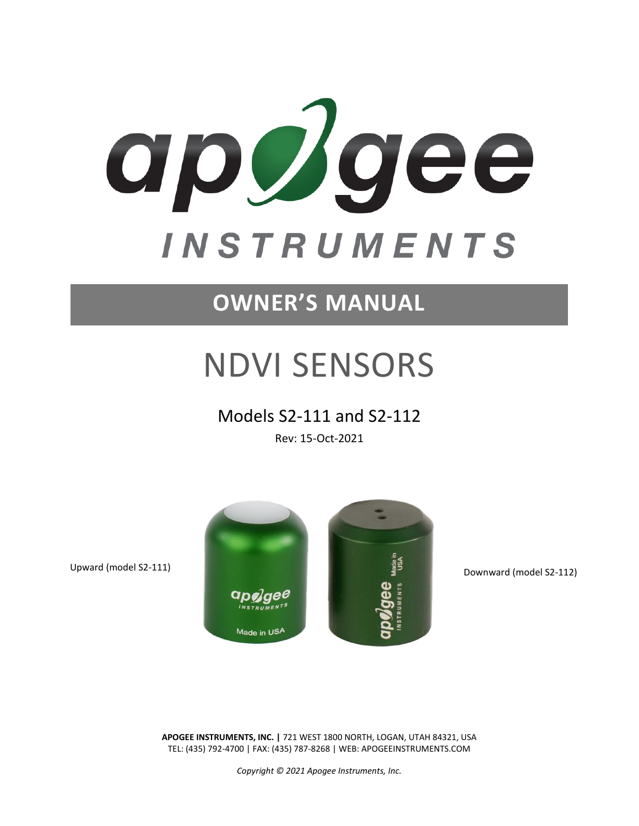

# <span id="page-0-0"></span>**OWNER'S MANUAL**

# NDVI SENSORS

### Models S2-111 and S2-112

Rev: 15-Oct-2021



**APOGEE INSTRUMENTS, INC. |** 721 WEST 1800 NORTH, LOGAN, UTAH 84321, USA TEL: (435) 792-4700 | FAX: (435) 787-8268 | WEB: APOGEEINSTRUMENTS.COM

*Copyright © 2021 Apogee Instruments, Inc.*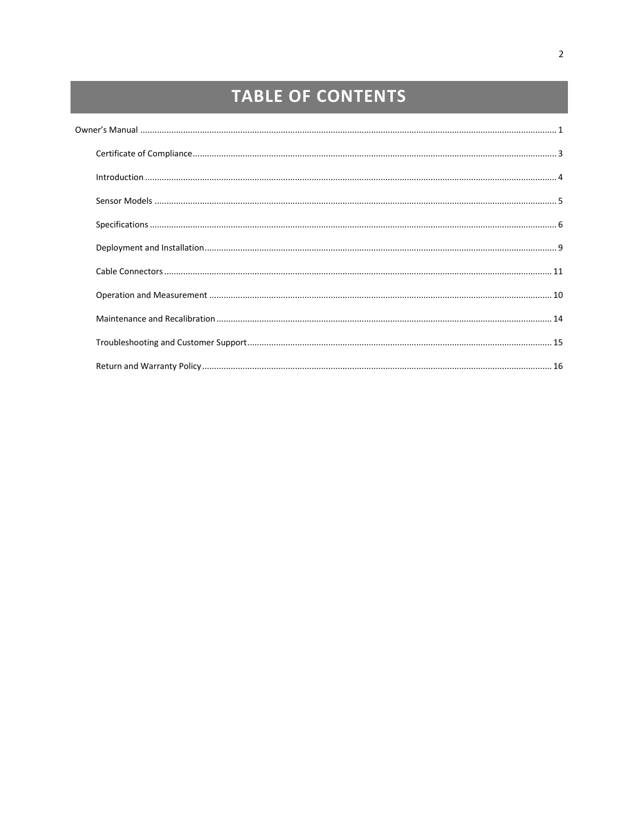## **TABLE OF CONTENTS**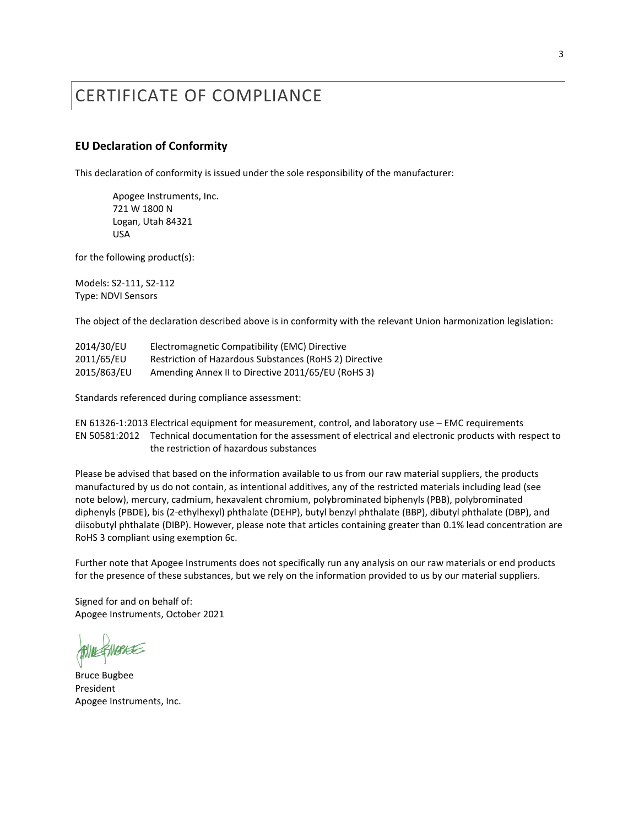### <span id="page-2-0"></span>CERTIFICATE OF COMPLIANCE

#### **EU Declaration of Conformity**

This declaration of conformity is issued under the sole responsibility of the manufacturer:

Apogee Instruments, Inc. 721 W 1800 N Logan, Utah 84321 USA

for the following product(s):

Models: S2-111, S2-112 Type: NDVI Sensors

The object of the declaration described above is in conformity with the relevant Union harmonization legislation:

| 2014/30/EU  | Electromagnetic Compatibility (EMC) Directive          |
|-------------|--------------------------------------------------------|
| 2011/65/EU  | Restriction of Hazardous Substances (RoHS 2) Directive |
| 2015/863/EU | Amending Annex II to Directive 2011/65/EU (RoHS 3)     |

Standards referenced during compliance assessment:

EN 61326-1:2013 Electrical equipment for measurement, control, and laboratory use – EMC requirements EN 50581:2012 Technical documentation for the assessment of electrical and electronic products with respect to the restriction of hazardous substances

Please be advised that based on the information available to us from our raw material suppliers, the products manufactured by us do not contain, as intentional additives, any of the restricted materials including lead (see note below), mercury, cadmium, hexavalent chromium, polybrominated biphenyls (PBB), polybrominated diphenyls (PBDE), bis (2-ethylhexyl) phthalate (DEHP), butyl benzyl phthalate (BBP), dibutyl phthalate (DBP), and diisobutyl phthalate (DIBP). However, please note that articles containing greater than 0.1% lead concentration are RoHS 3 compliant using exemption 6c.

Further note that Apogee Instruments does not specifically run any analysis on our raw materials or end products for the presence of these substances, but we rely on the information provided to us by our material suppliers.

Signed for and on behalf of: Apogee Instruments, October 2021

WARKE

Bruce Bugbee President Apogee Instruments, Inc.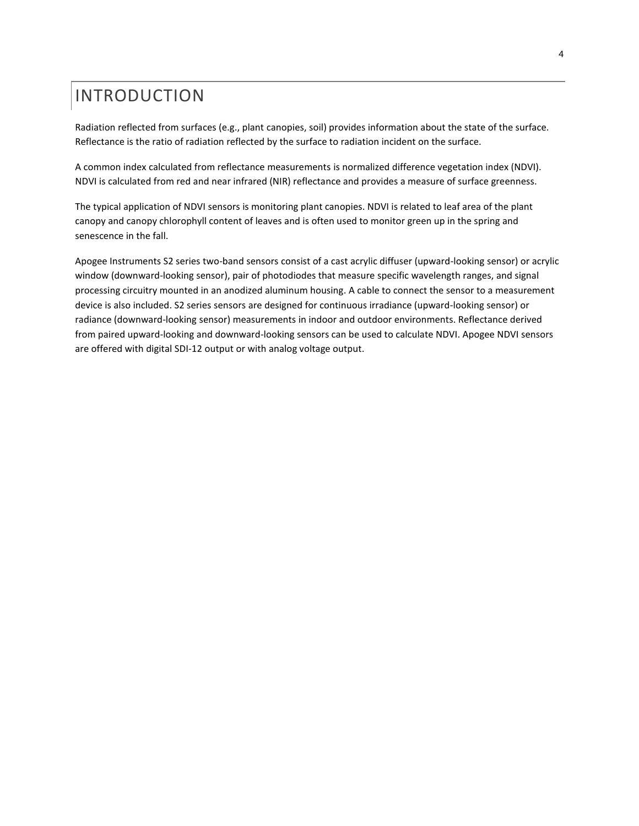### <span id="page-3-0"></span>INTRODUCTION

Radiation reflected from surfaces (e.g., plant canopies, soil) provides information about the state of the surface. Reflectance is the ratio of radiation reflected by the surface to radiation incident on the surface.

A common index calculated from reflectance measurements is normalized difference vegetation index (NDVI). NDVI is calculated from red and near infrared (NIR) reflectance and provides a measure of surface greenness.

The typical application of NDVI sensors is monitoring plant canopies. NDVI is related to leaf area of the plant canopy and canopy chlorophyll content of leaves and is often used to monitor green up in the spring and senescence in the fall.

Apogee Instruments S2 series two-band sensors consist of a cast acrylic diffuser (upward-looking sensor) or acrylic window (downward-looking sensor), pair of photodiodes that measure specific wavelength ranges, and signal processing circuitry mounted in an anodized aluminum housing. A cable to connect the sensor to a measurement device is also included. S2 series sensors are designed for continuous irradiance (upward-looking sensor) or radiance (downward-looking sensor) measurements in indoor and outdoor environments. Reflectance derived from paired upward-looking and downward-looking sensors can be used to calculate NDVI. Apogee NDVI sensors are offered with digital SDI-12 output or with analog voltage output.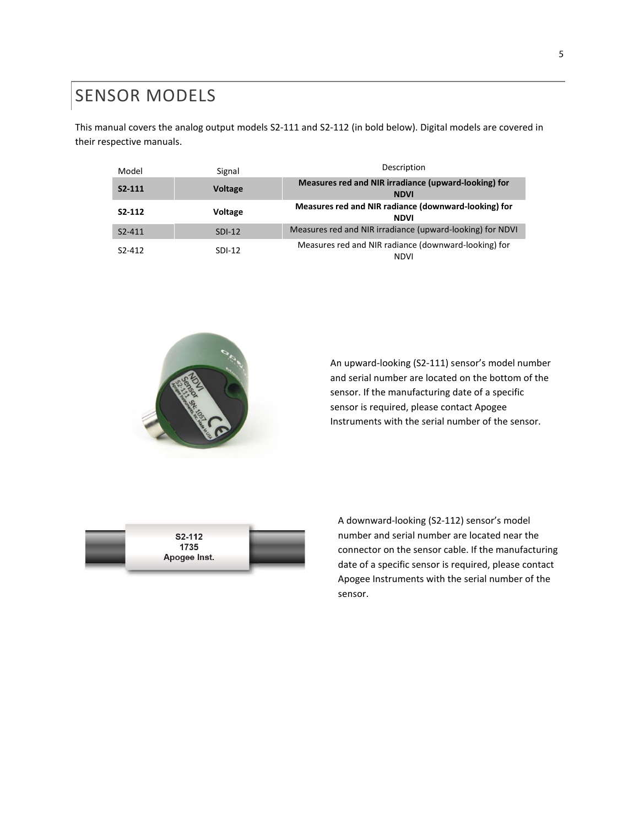### <span id="page-4-0"></span>SENSOR MODELS

This manual covers the analog output models S2-111 and S2-112 (in bold below). Digital models are covered in their respective manuals.

| Model                           | Signal         | Description                                                         |
|---------------------------------|----------------|---------------------------------------------------------------------|
| $S2-111$                        | <b>Voltage</b> | Measures red and NIR irradiance (upward-looking) for<br><b>NDVI</b> |
| S <sub>2</sub> -11 <sub>2</sub> | <b>Voltage</b> | Measures red and NIR radiance (downward-looking) for<br><b>NDVI</b> |
| $S2 - 411$                      | $SDI-12$       | Measures red and NIR irradiance (upward-looking) for NDVI           |
| $S2-412$                        | $SDI-12$       | Measures red and NIR radiance (downward-looking) for<br><b>NDVI</b> |



An upward-looking (S2-111) sensor's model number and serial number are located on the bottom of the sensor. If the manufacturing date of a specific sensor is required, please contact Apogee Instruments with the serial number of the sensor.



A downward-looking (S2-112) sensor's model number and serial number are located near the connector on the sensor cable. If the manufacturing date of a specific sensor is required, please contact Apogee Instruments with the serial number of the sensor.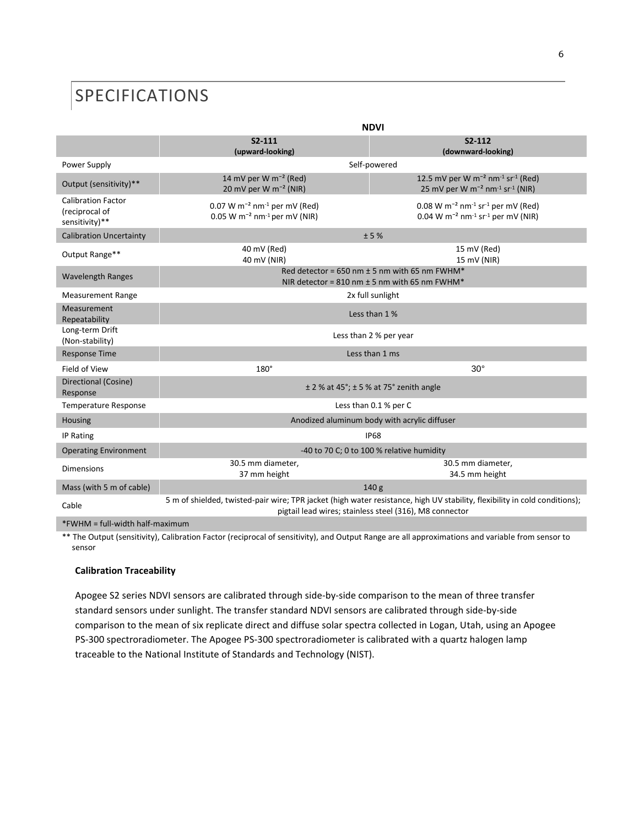### <span id="page-5-0"></span>SPECIFICATIONS

|                                                               | <b>NDVI</b>                                                                                                                                                                           |                                                                                                                                                  |  |
|---------------------------------------------------------------|---------------------------------------------------------------------------------------------------------------------------------------------------------------------------------------|--------------------------------------------------------------------------------------------------------------------------------------------------|--|
|                                                               | $S2-111$<br>(upward-looking)                                                                                                                                                          | $S2-112$<br>(downward-looking)                                                                                                                   |  |
| Power Supply                                                  | Self-powered                                                                                                                                                                          |                                                                                                                                                  |  |
| Output (sensitivity)**                                        | 14 mV per W m <sup>-2</sup> (Red)<br>20 mV per W m <sup>-2</sup> (NIR)                                                                                                                | 12.5 mV per W m <sup>-2</sup> nm <sup>-1</sup> sr <sup>-1</sup> (Red)<br>25 mV per W m <sup>-2</sup> nm <sup>-1</sup> sr <sup>-1</sup> (NIR)     |  |
| <b>Calibration Factor</b><br>(reciprocal of<br>sensitivity)** | 0.07 W $m^{-2}$ nm <sup>-1</sup> per mV (Red)<br>0.05 W m <sup>-2</sup> nm <sup>-1</sup> per mV (NIR)                                                                                 | $0.08$ W m <sup>-2</sup> nm <sup>-1</sup> sr <sup>-1</sup> per mV (Red)<br>0.04 W m <sup>-2</sup> nm <sup>-1</sup> sr <sup>-1</sup> per mV (NIR) |  |
| <b>Calibration Uncertainty</b>                                | ±5%                                                                                                                                                                                   |                                                                                                                                                  |  |
| Output Range**                                                | 40 mV (Red)<br>40 mV (NIR)                                                                                                                                                            | 15 mV (Red)<br>15 mV (NIR)                                                                                                                       |  |
| <b>Wavelength Ranges</b>                                      | Red detector = 650 nm $\pm$ 5 nm with 65 nm FWHM*<br>NIR detector = $810$ nm $\pm$ 5 nm with 65 nm FWHM*                                                                              |                                                                                                                                                  |  |
| <b>Measurement Range</b>                                      | 2x full sunlight                                                                                                                                                                      |                                                                                                                                                  |  |
| Measurement<br>Repeatability                                  | Less than 1 %                                                                                                                                                                         |                                                                                                                                                  |  |
| Long-term Drift<br>(Non-stability)                            | Less than 2 % per year                                                                                                                                                                |                                                                                                                                                  |  |
| <b>Response Time</b>                                          | Less than 1 ms                                                                                                                                                                        |                                                                                                                                                  |  |
| Field of View                                                 | 180°                                                                                                                                                                                  | $30^\circ$                                                                                                                                       |  |
| Directional (Cosine)<br>Response                              | $\pm$ 2 % at 45°; $\pm$ 5 % at 75° zenith angle                                                                                                                                       |                                                                                                                                                  |  |
| Temperature Response                                          | Less than 0.1 % per C                                                                                                                                                                 |                                                                                                                                                  |  |
| Housing                                                       | Anodized aluminum body with acrylic diffuser                                                                                                                                          |                                                                                                                                                  |  |
| IP Rating                                                     | <b>IP68</b>                                                                                                                                                                           |                                                                                                                                                  |  |
| <b>Operating Environment</b>                                  | -40 to 70 C; 0 to 100 % relative humidity                                                                                                                                             |                                                                                                                                                  |  |
| <b>Dimensions</b>                                             | 30.5 mm diameter,<br>37 mm height                                                                                                                                                     | 30.5 mm diameter,<br>34.5 mm height                                                                                                              |  |
| Mass (with 5 m of cable)                                      | 140 <sub>g</sub>                                                                                                                                                                      |                                                                                                                                                  |  |
| Cable                                                         | 5 m of shielded, twisted-pair wire; TPR jacket (high water resistance, high UV stability, flexibility in cold conditions);<br>pigtail lead wires; stainless steel (316), M8 connector |                                                                                                                                                  |  |
|                                                               |                                                                                                                                                                                       |                                                                                                                                                  |  |

\*FWHM = full-width half-maximum

\*\* The Output (sensitivity), Calibration Factor (reciprocal of sensitivity), and Output Range are all approximations and variable from sensor to sensor

#### **Calibration Traceability**

Apogee S2 series NDVI sensors are calibrated through side-by-side comparison to the mean of three transfer standard sensors under sunlight. The transfer standard NDVI sensors are calibrated through side-by-side comparison to the mean of six replicate direct and diffuse solar spectra collected in Logan, Utah, using an Apogee PS-300 spectroradiometer. The Apogee PS-300 spectroradiometer is calibrated with a quartz halogen lamp traceable to the National Institute of Standards and Technology (NIST).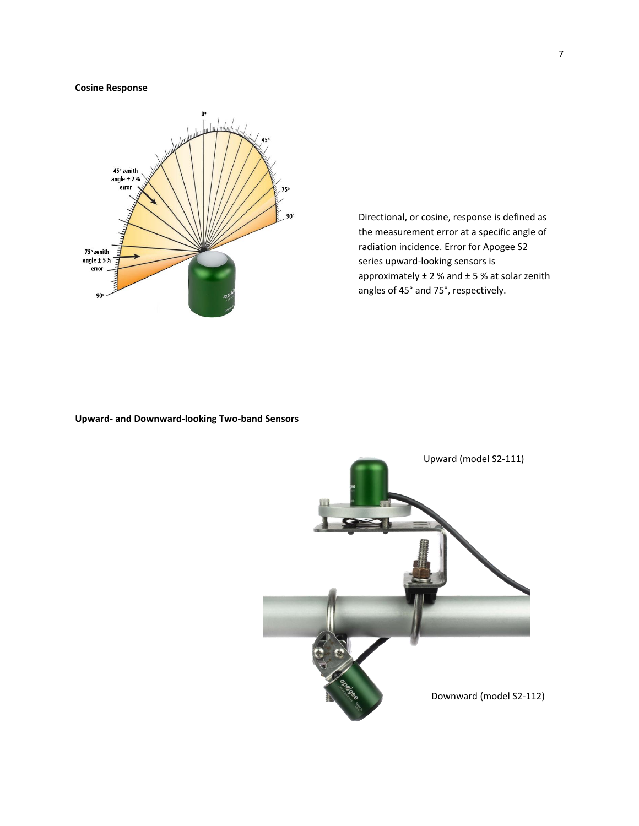#### **Cosine Response**



Directional, or cosine, response is defined as the measurement error at a specific angle of radiation incidence. Error for Apogee S2 series upward-looking sensors is approximately  $\pm$  2 % and  $\pm$  5 % at solar zenith angles of 45° and 75°, respectively.

#### **Upward- and Downward-looking Two-band Sensors**

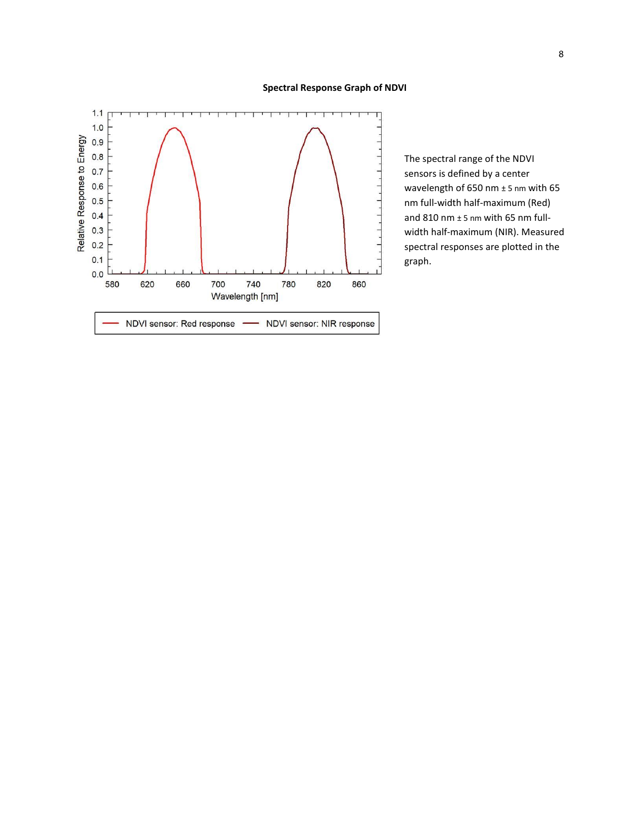#### **Spectral Response Graph of NDVI**



The spectral range of the NDVI sensors is defined by a center wavelength of 650 nm ± 5 nm with 65 nm full-width half-maximum (Red) and 810 nm ± 5 nm with 65 nm fullwidth half-maximum (NIR). Measured spectral responses are plotted in the graph.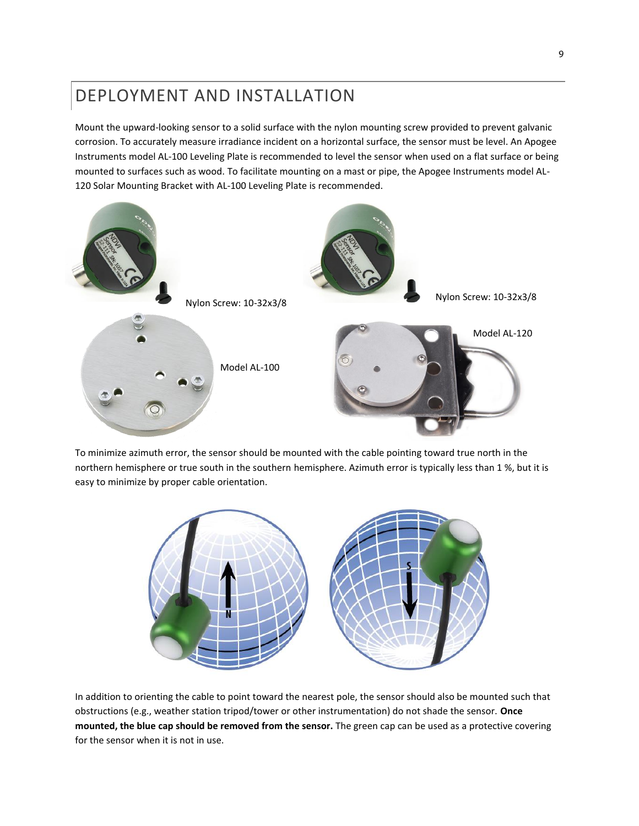### <span id="page-8-0"></span>DEPLOYMENT AND INSTALLATION

Mount the upward-looking sensor to a solid surface with the nylon mounting screw provided to prevent galvanic corrosion. To accurately measure irradiance incident on a horizontal surface, the sensor must be level. An Apogee Instruments model AL-100 Leveling Plate is recommended to level the sensor when used on a flat surface or being mounted to surfaces such as wood. To facilitate mounting on a mast or pipe, the Apogee Instruments model AL-120 Solar Mounting Bracket with AL-100 Leveling Plate is recommended.



To minimize azimuth error, the sensor should be mounted with the cable pointing toward true north in the northern hemisphere or true south in the southern hemisphere. Azimuth error is typically less than 1 %, but it is easy to minimize by proper cable orientation.



In addition to orienting the cable to point toward the nearest pole, the sensor should also be mounted such that obstructions (e.g., weather station tripod/tower or other instrumentation) do not shade the sensor. **Once mounted, the blue cap should be removed from the sensor.** The green cap can be used as a protective covering for the sensor when it is not in use.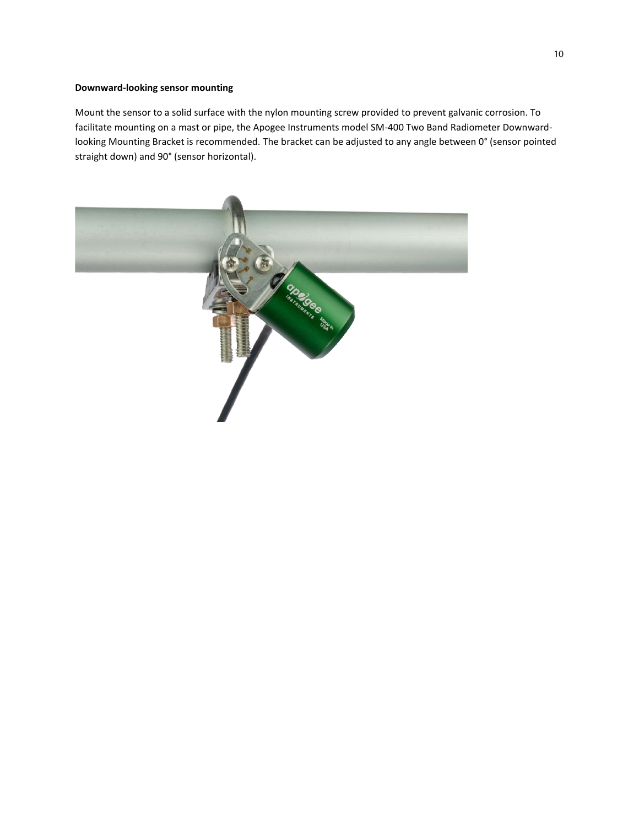#### **Downward-looking sensor mounting**

Mount the sensor to a solid surface with the nylon mounting screw provided to prevent galvanic corrosion. To facilitate mounting on a mast or pipe, the Apogee Instruments model SM-400 Two Band Radiometer Downwardlooking Mounting Bracket is recommended. The bracket can be adjusted to any angle between 0° (sensor pointed straight down) and 90° (sensor horizontal).

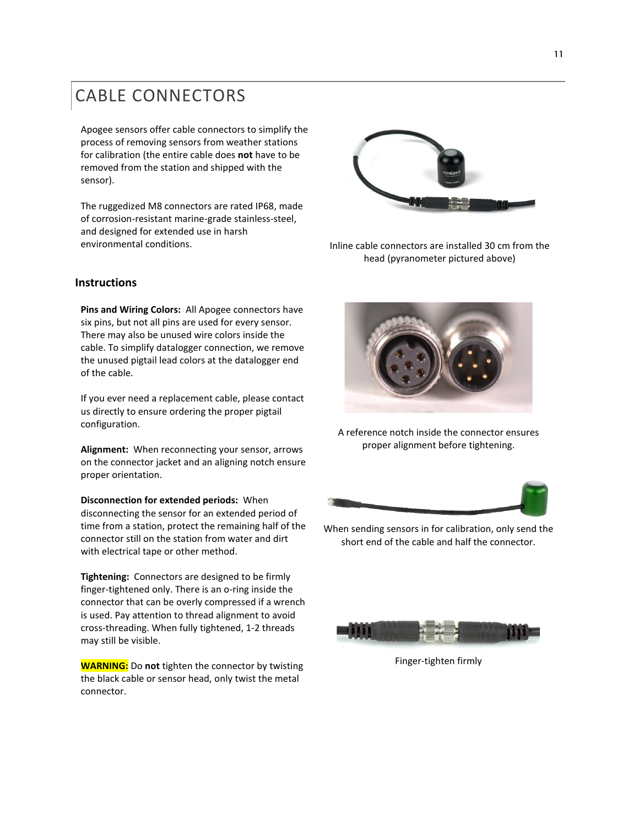### <span id="page-10-0"></span>CABLE CONNECTORS

<span id="page-10-1"></span>Apogee sensors offer cable connectors to simplify the process of removing sensors from weather stations for calibration (the entire cable does **not** have to be removed from the station and shipped with the sensor).

The ruggedized M8 connectors are rated IP68, made of corrosion-resistant marine-grade stainless-steel, and designed for extended use in harsh environmental conditions. Inline cable connectors are installed 30 cm from the



head (pyranometer pictured above)

#### **Instructions**

**Pins and Wiring Colors:** All Apogee connectors have six pins, but not all pins are used for every sensor. There may also be unused wire colors inside the cable. To simplify datalogger connection, we remove the unused pigtail lead colors at the datalogger end of the cable.

If you ever need a replacement cable, please contact us directly to ensure ordering the proper pigtail configuration.

**Alignment:** When reconnecting your sensor, arrows on the connector jacket and an aligning notch ensure proper orientation.

**Disconnection for extended periods:** When disconnecting the sensor for an extended period of time from a station, protect the remaining half of the connector still on the station from water and dirt with electrical tape or other method.

**Tightening:** Connectors are designed to be firmly finger-tightened only. There is an o-ring inside the connector that can be overly compressed if a wrench is used. Pay attention to thread alignment to avoid cross-threading. When fully tightened, 1-2 threads may still be visible.

**WARNING:** Do **not** tighten the connector by twisting the black cable or sensor head, only twist the metal connector.



A reference notch inside the connector ensures proper alignment before tightening.



When sending sensors in for calibration, only send the short end of the cable and half the connector.



Finger-tighten firmly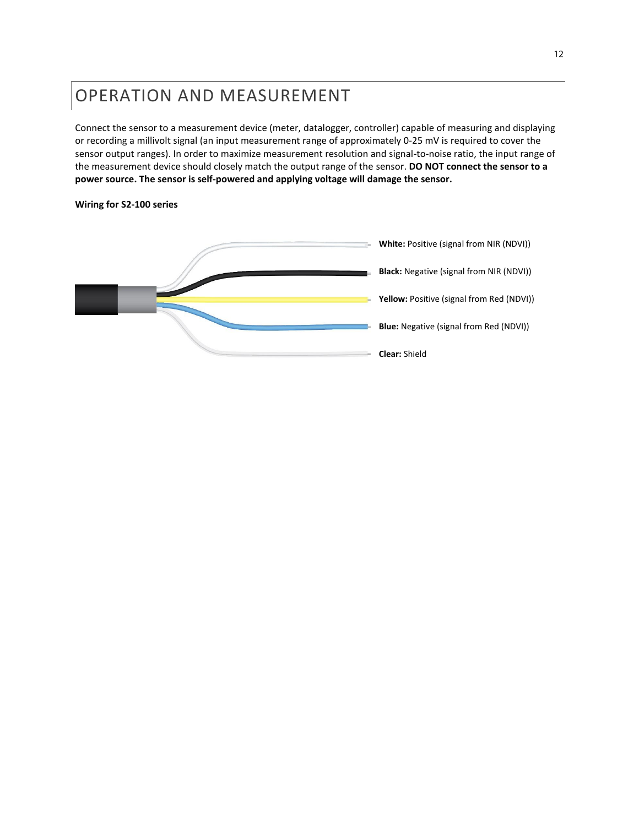### OPERATION AND MEASUREMENT

Connect the sensor to a measurement device (meter, datalogger, controller) capable of measuring and displaying or recording a millivolt signal (an input measurement range of approximately 0-25 mV is required to cover the sensor output ranges). In order to maximize measurement resolution and signal-to-noise ratio, the input range of the measurement device should closely match the output range of the sensor. **DO NOT connect the sensor to a power source. The sensor is self-powered and applying voltage will damage the sensor.**

#### **Wiring for S2-100 series**

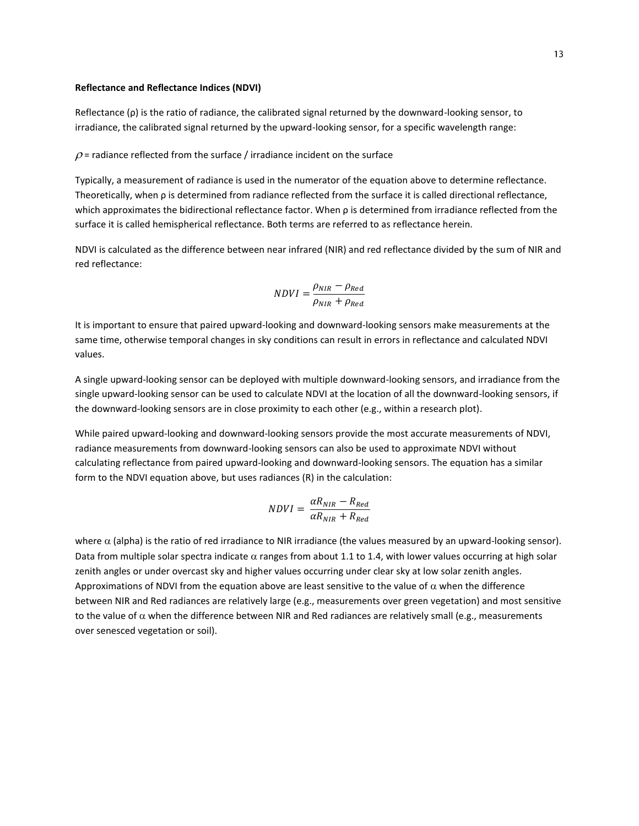#### **Reflectance and Reflectance Indices (NDVI)**

Reflectance (ρ) is the ratio of radiance, the calibrated signal returned by the downward-looking sensor, to irradiance, the calibrated signal returned by the upward-looking sensor, for a specific wavelength range:

#### $\rho$  = radiance reflected from the surface / irradiance incident on the surface

Typically, a measurement of radiance is used in the numerator of the equation above to determine reflectance. Theoretically, when ρ is determined from radiance reflected from the surface it is called directional reflectance, which approximates the bidirectional reflectance factor. When ρ is determined from irradiance reflected from the surface it is called hemispherical reflectance. Both terms are referred to as reflectance herein.

NDVI is calculated as the difference between near infrared (NIR) and red reflectance divided by the sum of NIR and red reflectance:

$$
NDVI = \frac{\rho_{NIR} - \rho_{Red}}{\rho_{NIR} + \rho_{Red}}
$$

It is important to ensure that paired upward-looking and downward-looking sensors make measurements at the same time, otherwise temporal changes in sky conditions can result in errors in reflectance and calculated NDVI values.

A single upward-looking sensor can be deployed with multiple downward-looking sensors, and irradiance from the single upward-looking sensor can be used to calculate NDVI at the location of all the downward-looking sensors, if the downward-looking sensors are in close proximity to each other (e.g., within a research plot).

While paired upward-looking and downward-looking sensors provide the most accurate measurements of NDVI, radiance measurements from downward-looking sensors can also be used to approximate NDVI without calculating reflectance from paired upward-looking and downward-looking sensors. The equation has a similar form to the NDVI equation above, but uses radiances (R) in the calculation:

$$
NDVI = \frac{\alpha R_{NIR} - R_{Red}}{\alpha R_{NIR} + R_{Red}}
$$

where  $\alpha$  (alpha) is the ratio of red irradiance to NIR irradiance (the values measured by an upward-looking sensor). Data from multiple solar spectra indicate  $\alpha$  ranges from about 1.1 to 1.4, with lower values occurring at high solar zenith angles or under overcast sky and higher values occurring under clear sky at low solar zenith angles. Approximations of NDVI from the equation above are least sensitive to the value of  $\alpha$  when the difference between NIR and Red radiances are relatively large (e.g., measurements over green vegetation) and most sensitive to the value of  $\alpha$  when the difference between NIR and Red radiances are relatively small (e.g., measurements over senesced vegetation or soil).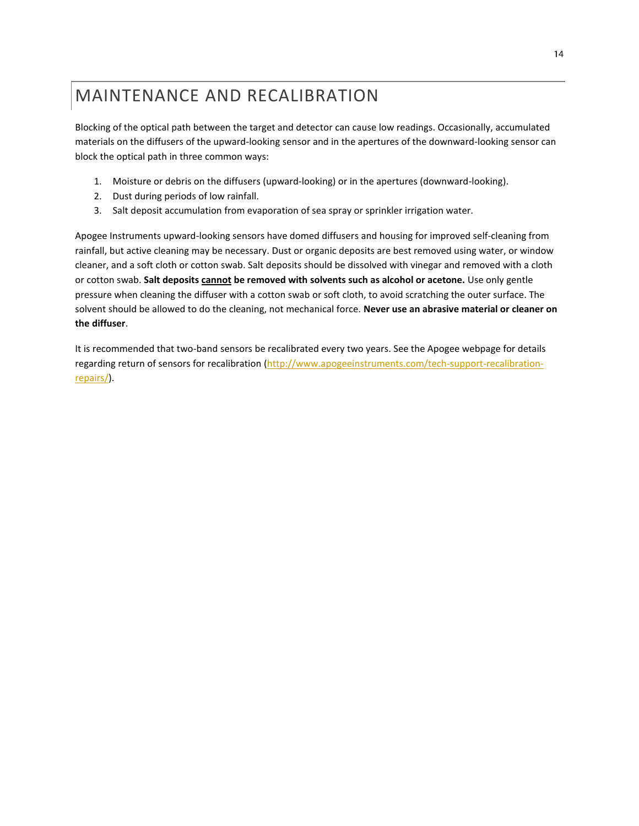### <span id="page-13-0"></span>MAINTENANCE AND RECALIBRATION

Blocking of the optical path between the target and detector can cause low readings. Occasionally, accumulated materials on the diffusers of the upward-looking sensor and in the apertures of the downward-looking sensor can block the optical path in three common ways:

- 1. Moisture or debris on the diffusers (upward-looking) or in the apertures (downward-looking).
- 2. Dust during periods of low rainfall.
- 3. Salt deposit accumulation from evaporation of sea spray or sprinkler irrigation water.

Apogee Instruments upward-looking sensors have domed diffusers and housing for improved self-cleaning from rainfall, but active cleaning may be necessary. Dust or organic deposits are best removed using water, or window cleaner, and a soft cloth or cotton swab. Salt deposits should be dissolved with vinegar and removed with a cloth or cotton swab. **Salt deposits cannot be removed with solvents such as alcohol or acetone.** Use only gentle pressure when cleaning the diffuser with a cotton swab or soft cloth, to avoid scratching the outer surface. The solvent should be allowed to do the cleaning, not mechanical force. **Never use an abrasive material or cleaner on the diffuser**.

It is recommended that two-band sensors be recalibrated every two years. See the Apogee webpage for details regarding return of sensors for recalibration [\(http://www.apogeeinstruments.com/tech-support-recalibration](http://www.apogeeinstruments.com/tech-support-recalibration-repairs/)[repairs/\)](http://www.apogeeinstruments.com/tech-support-recalibration-repairs/).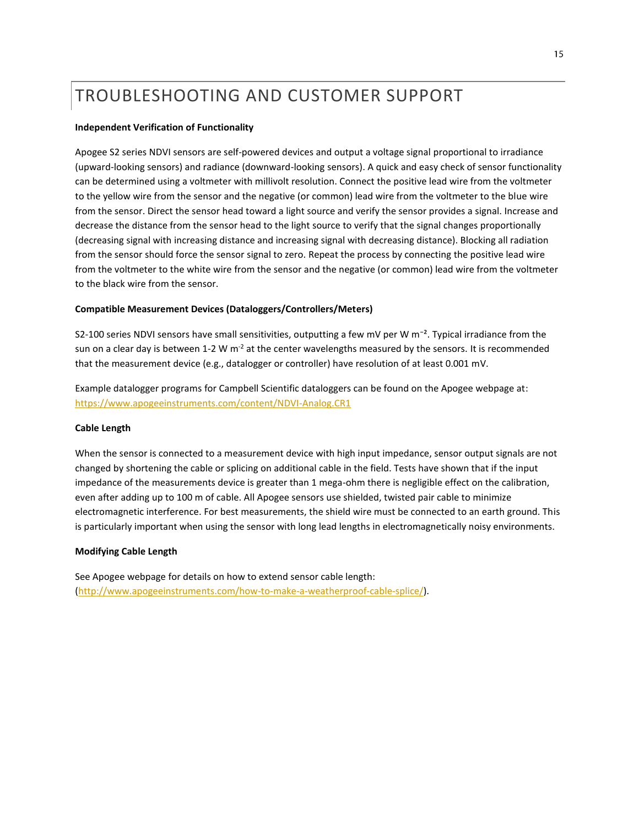### <span id="page-14-0"></span>TROUBLESHOOTING AND CUSTOMER SUPPORT

#### **Independent Verification of Functionality**

Apogee S2 series NDVI sensors are self-powered devices and output a voltage signal proportional to irradiance (upward-looking sensors) and radiance (downward-looking sensors). A quick and easy check of sensor functionality can be determined using a voltmeter with millivolt resolution. Connect the positive lead wire from the voltmeter to the yellow wire from the sensor and the negative (or common) lead wire from the voltmeter to the blue wire from the sensor. Direct the sensor head toward a light source and verify the sensor provides a signal. Increase and decrease the distance from the sensor head to the light source to verify that the signal changes proportionally (decreasing signal with increasing distance and increasing signal with decreasing distance). Blocking all radiation from the sensor should force the sensor signal to zero. Repeat the process by connecting the positive lead wire from the voltmeter to the white wire from the sensor and the negative (or common) lead wire from the voltmeter to the black wire from the sensor.

#### **Compatible Measurement Devices (Dataloggers/Controllers/Meters)**

S2-100 series NDVI sensors have small sensitivities, outputting a few mV per W m<sup>-2</sup>. Typical irradiance from the sun on a clear day is between 1-2 W  $m<sup>-2</sup>$  at the center wavelengths measured by the sensors. It is recommended that the measurement device (e.g., datalogger or controller) have resolution of at least 0.001 mV.

Example datalogger programs for Campbell Scientific dataloggers can be found on the Apogee webpage at: <https://www.apogeeinstruments.com/content/NDVI-Analog.CR1>

#### **Cable Length**

When the sensor is connected to a measurement device with high input impedance, sensor output signals are not changed by shortening the cable or splicing on additional cable in the field. Tests have shown that if the input impedance of the measurements device is greater than 1 mega-ohm there is negligible effect on the calibration, even after adding up to 100 m of cable. All Apogee sensors use shielded, twisted pair cable to minimize electromagnetic interference. For best measurements, the shield wire must be connected to an earth ground. This is particularly important when using the sensor with long lead lengths in electromagnetically noisy environments.

#### **Modifying Cable Length**

See Apogee webpage for details on how to extend sensor cable length: [\(http://www.apogeeinstruments.com/how-to-make-a-weatherproof-cable-splice/\)](http://www.apogeeinstruments.com/how-to-make-a-weatherproof-cable-splice/).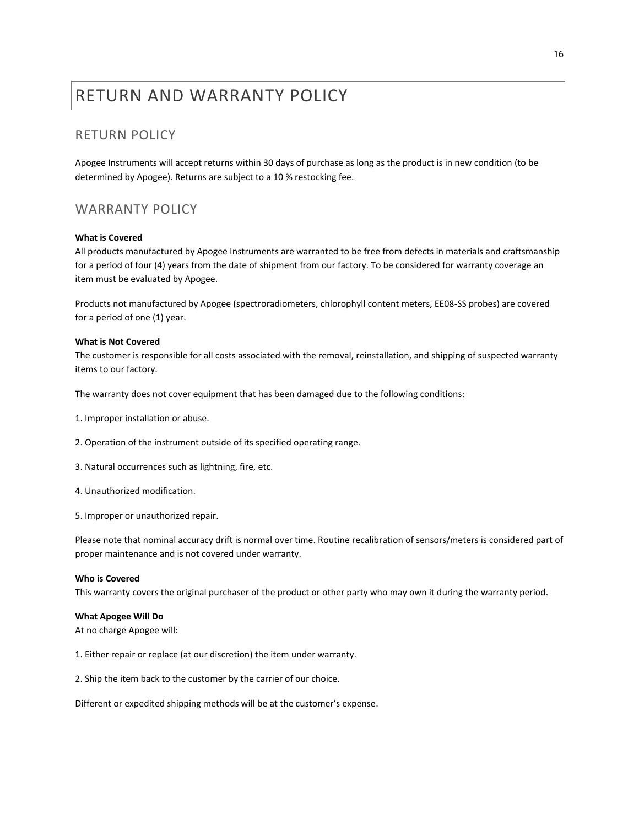### <span id="page-15-0"></span>RETURN AND WARRANTY POLICY

#### RETURN POLICY

Apogee Instruments will accept returns within 30 days of purchase as long as the product is in new condition (to be determined by Apogee). Returns are subject to a 10 % restocking fee.

#### WARRANTY POLICY

#### **What is Covered**

All products manufactured by Apogee Instruments are warranted to be free from defects in materials and craftsmanship for a period of four (4) years from the date of shipment from our factory. To be considered for warranty coverage an item must be evaluated by Apogee.

Products not manufactured by Apogee (spectroradiometers, chlorophyll content meters, EE08-SS probes) are covered for a period of one (1) year.

#### **What is Not Covered**

The customer is responsible for all costs associated with the removal, reinstallation, and shipping of suspected warranty items to our factory.

The warranty does not cover equipment that has been damaged due to the following conditions:

- 1. Improper installation or abuse.
- 2. Operation of the instrument outside of its specified operating range.
- 3. Natural occurrences such as lightning, fire, etc.
- 4. Unauthorized modification.
- 5. Improper or unauthorized repair.

Please note that nominal accuracy drift is normal over time. Routine recalibration of sensors/meters is considered part of proper maintenance and is not covered under warranty.

#### **Who is Covered**

This warranty covers the original purchaser of the product or other party who may own it during the warranty period.

#### **What Apogee Will Do**

At no charge Apogee will:

- 1. Either repair or replace (at our discretion) the item under warranty.
- 2. Ship the item back to the customer by the carrier of our choice.

Different or expedited shipping methods will be at the customer's expense.